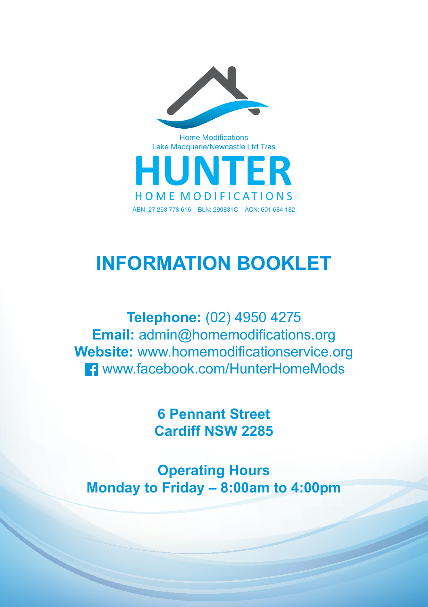

Home Modifications Lake Macquarie/Newcastle Ltd T/as



# **INFORMATION BOOKLET**

**Telephone:** (02) 4950 4275 **Email:** admin@homemodifications.org **Website:** www.homemodificationservice.org www.facebook.com/HunterHomeMods

> **6 Pennant Street Cardiff NSW 2285**

**Operating Hours Monday to Friday – 8:00am to 4:00pm**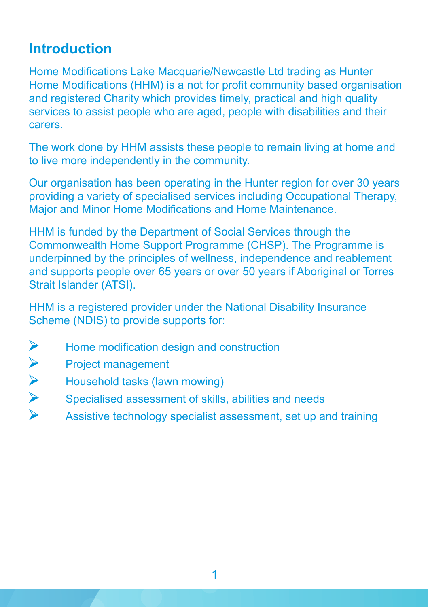#### **Introduction**

Home Modifications Lake Macquarie/Newcastle Ltd trading as Hunter Home Modifications (HHM) is a not for profit community based organisation and registered Charity which provides timely, practical and high quality services to assist people who are aged, people with disabilities and their carers.

The work done by HHM assists these people to remain living at home and to live more independently in the community.

Our organisation has been operating in the Hunter region for over 30 years providing a variety of specialised services including Occupational Therapy, Major and Minor Home Modifications and Home Maintenance.

HHM is funded by the Department of Social Services through the Commonwealth Home Support Programme (CHSP). The Programme is underpinned by the principles of wellness, independence and reablement and supports people over 65 years or over 50 years if Aboriginal or Torres Strait Islander (ATSI).

HHM is a registered provider under the National Disability Insurance Scheme (NDIS) to provide supports for:

- $\blacktriangleright$ Home modification design and construction
- Project management
- VVVV Household tasks (lawn mowing)
- Specialised assessment of skills, abilities and needs
- Assistive technology specialist assessment, set up and training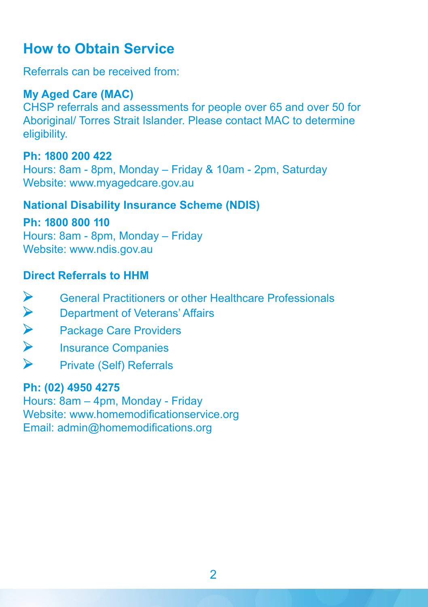# **How to Obtain Service**

Referrals can be received from:

#### **My Aged Care (MAC)**

CHSP referrals and assessments for people over 65 and over 50 for Aboriginal/ Torres Strait Islander. Please contact MAC to determine eligibility.

#### **Ph: 1800 200 422**

Hours: 8am - 8pm, Monday – Friday & 10am - 2pm, Saturday Website: www.myagedcare.gov.au

#### **National Disability Insurance Scheme (NDIS)**

**Ph: 1800 800 110**

Hours: 8am - 8pm, Monday – Friday Website: www.ndis.gov.au

#### **Direct Referrals to HHM**

- General Practitioners or other Healthcare Professionals
- Department of Veterans' Affairs
- $\lambda$   $\lambda$   $\lambda$ Package Care Providers
- Insurance Companies
- $\blacktriangleright$ Private (Self) Referrals

#### **Ph: (02) 4950 4275**

Hours: 8am – 4pm, Monday - Friday Website: www.homemodificationservice.org Email: admin@homemodifications.org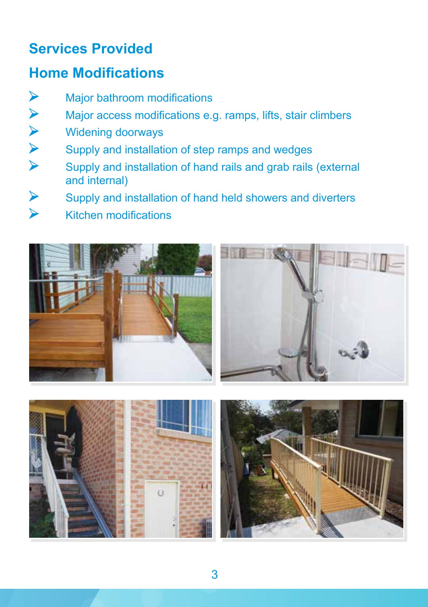### **Services Provided**

# **Home Modifications**

- $\blacktriangleright$ Major bathroom modifications
- Major access modifications e.g. ramps, lifts, stair climbers
- Widening doorways
- Supply and installation of step ramps and wedges
- VVVV Supply and installation of hand rails and grab rails (external and internal)
- $\vee$ Supply and installation of hand held showers and diverters
	- Kitchen modifications







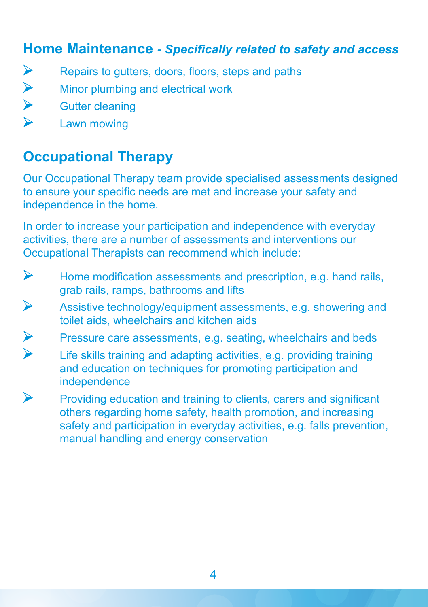#### **Home Maintenance** *- Specifically related to safety and access*

- ▶ Repairs to gutters, doors, floors, steps and paths
- Minor plumbing and electrical work
- VVV Gutter cleaning
	- Lawn mowing

# **Occupational Therapy**

Our Occupational Therapy team provide specialised assessments designed to ensure your specific needs are met and increase your safety and independence in the home.

In order to increase your participation and independence with everyday activities, there are a number of assessments and interventions our Occupational Therapists can recommend which include:

- $\blacktriangleright$ Home modification assessments and prescription, e.g. hand rails, grab rails, ramps, bathrooms and lifts
- $\blacktriangleright$ Assistive technology/equipment assessments, e.g. showering and toilet aids, wheelchairs and kitchen aids
- VV Pressure care assessments, e.g. seating, wheelchairs and beds
- Life skills training and adapting activities, e.g. providing training and education on techniques for promoting participation and independence
- $\blacktriangleright$ Providing education and training to clients, carers and significant others regarding home safety, health promotion, and increasing safety and participation in everyday activities, e.g. falls prevention, manual handling and energy conservation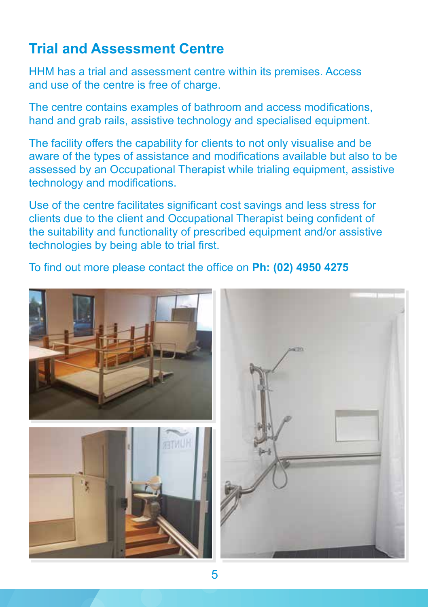### **Trial and Assessment Centre**

HHM has a trial and assessment centre within its premises. Access and use of the centre is free of charge.

The centre contains examples of bathroom and access modifications, hand and grab rails, assistive technology and specialised equipment.

The facility offers the capability for clients to not only visualise and be aware of the types of assistance and modifications available but also to be assessed by an Occupational Therapist while trialing equipment, assistive technology and modifications.

Use of the centre facilitates significant cost savings and less stress for clients due to the client and Occupational Therapist being confident of the suitability and functionality of prescribed equipment and/or assistive technologies by being able to trial first.

To find out more please contact the office on **Ph: (02) 4950 4275**

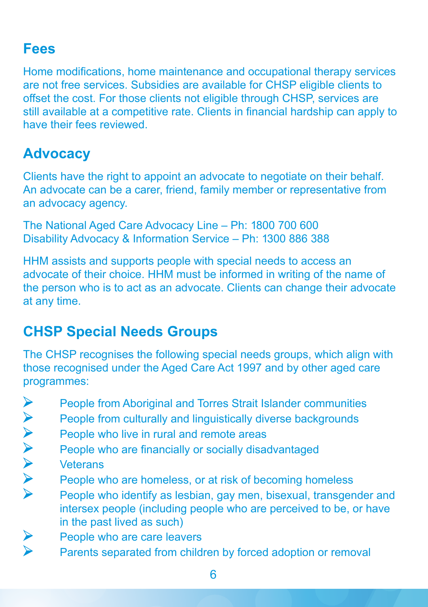#### **Fees**

Home modifications, home maintenance and occupational therapy services are not free services. Subsidies are available for CHSP eligible clients to offset the cost. For those clients not eligible through CHSP, services are still available at a competitive rate. Clients in financial hardship can apply to have their fees reviewed.

# **Advocacy**

Clients have the right to appoint an advocate to negotiate on their behalf. An advocate can be a carer, friend, family member or representative from an advocacy agency.

The National Aged Care Advocacy Line – Ph: 1800 700 600 Disability Advocacy & Information Service – Ph: 1300 886 388

HHM assists and supports people with special needs to access an advocate of their choice. HHM must be informed in writing of the name of the person who is to act as an advocate. Clients can change their advocate at any time.

# **CHSP Special Needs Groups**

The CHSP recognises the following special needs groups, which align with those recognised under the Aged Care Act 1997 and by other aged care programmes:

- People from Aboriginal and Torres Strait Islander communities
- People from culturally and linguistically diverse backgrounds
- People who live in rural and remote areas
- People who are financially or socially disadvantaged
- **Veterans**
- People who are homeless, or at risk of becoming homeless
- AAAAAAA People who identify as lesbian, gay men, bisexual, transgender and intersex people (including people who are perceived to be, or have in the past lived as such)
- $\blacktriangle$ People who are care leavers
	- Parents separated from children by forced adoption or removal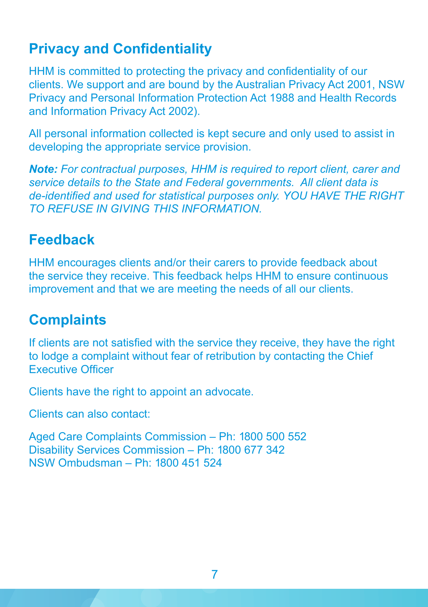### **Privacy and Confidentiality**

HHM is committed to protecting the privacy and confidentiality of our clients. We support and are bound by the Australian Privacy Act 2001, NSW Privacy and Personal Information Protection Act 1988 and Health Records and Information Privacy Act 2002).

All personal information collected is kept secure and only used to assist in developing the appropriate service provision.

*Note: For contractual purposes, HHM is required to report client, carer and service details to the State and Federal governments. All client data is de-identified and used for statistical purposes only. YOU HAVE THE RIGHT TO REFUSE IN GIVING THIS INFORMATION.*

### **Feedback**

HHM encourages clients and/or their carers to provide feedback about the service they receive. This feedback helps HHM to ensure continuous improvement and that we are meeting the needs of all our clients.

### **Complaints**

If clients are not satisfied with the service they receive, they have the right to lodge a complaint without fear of retribution by contacting the Chief Executive Officer

Clients have the right to appoint an advocate.

Clients can also contact:

Aged Care Complaints Commission – Ph: 1800 500 552 Disability Services Commission – Ph: 1800 677 342 NSW Ombudsman – Ph: 1800 451 524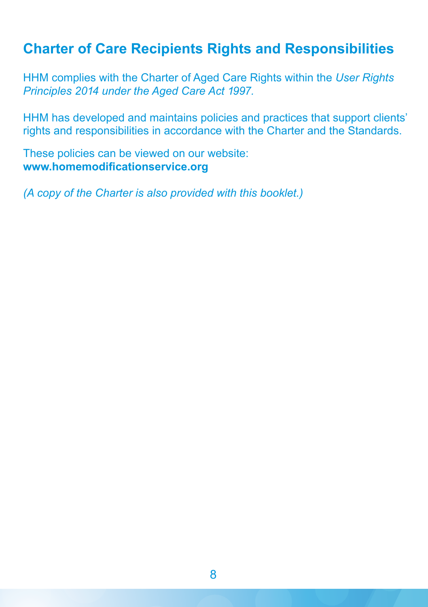#### **Charter of Care Recipients Rights and Responsibilities**

HHM complies with the Charter of Aged Care Rights within the *User Rights Principles 2014 under the Aged Care Act 1997.*

HHM has developed and maintains policies and practices that support clients' rights and responsibilities in accordance with the Charter and the Standards.

These policies can be viewed on our website: **www.homemodificationservice.org**

*(A copy of the Charter is also provided with this booklet.)*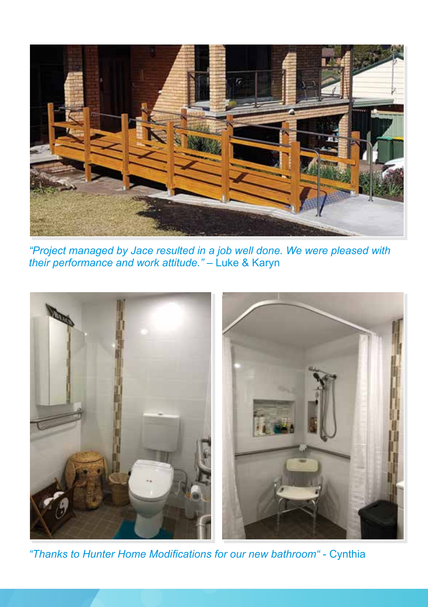

*"Project managed by Jace resulted in a job well done. We were pleased with their performance and work attitude."* – Luke & Karyn



*"Thanks to Hunter Home Modifications for our new bathroom"* - Cynthia